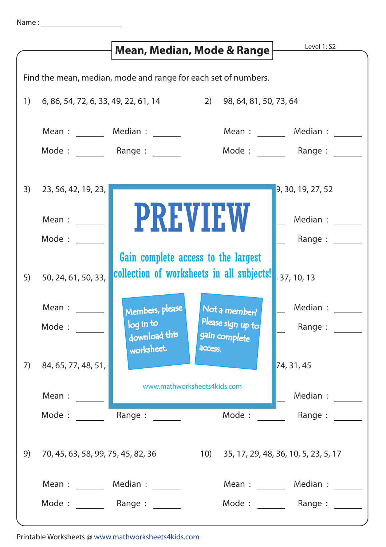|                                                                | Mean, Median, Mode & Range                                           |                                                                                  |                                    | Level 1: S2                              |
|----------------------------------------------------------------|----------------------------------------------------------------------|----------------------------------------------------------------------------------|------------------------------------|------------------------------------------|
| Find the mean, median, mode and range for each set of numbers. |                                                                      |                                                                                  |                                    |                                          |
| 1)                                                             | 2)<br>98, 64, 81, 50, 73, 64<br>6, 86, 54, 72, 6, 33, 49, 22, 61, 14 |                                                                                  |                                    |                                          |
|                                                                |                                                                      | Mean : _______ Median : ______                                                   | Mean:                              | Median :                                 |
|                                                                | Mode: Range:                                                         |                                                                                  | Mode: Range:                       |                                          |
| 3)                                                             | 23, 56, 42, 19, 23,                                                  |                                                                                  |                                    | 9, 30, 19, 27, 52                        |
|                                                                | Mean :                                                               | <b>PREVIEW</b>                                                                   |                                    | Median :                                 |
|                                                                | Mode :                                                               |                                                                                  |                                    | Range :                                  |
| 5)                                                             | 50, 24, 61, 50, 33,                                                  | Gain complete access to the largest<br>collection of worksheets in all subjects! |                                    | 37, 10, 13                               |
|                                                                | Mean :                                                               | Members, please                                                                  | Not a member?                      | Median :                                 |
|                                                                | Mode:                                                                | log in to<br>download this<br>worksheet.<br>access.                              | Please sign up to<br>gain complete | Range:                                   |
| 7)                                                             | 84, 65, 77, 48, 51,                                                  |                                                                                  |                                    | 74, 31, 45                               |
|                                                                | Mean :                                                               | www.mathworksheets4kids.com                                                      |                                    | Median :                                 |
|                                                                | Mode:                                                                | Range:                                                                           | Mode:                              | Range :                                  |
| 9)                                                             | 70, 45, 63, 58, 99, 75, 45, 82, 36                                   |                                                                                  |                                    | 10) 35, 17, 29, 48, 36, 10, 5, 23, 5, 17 |
|                                                                | Mean: Median:                                                        |                                                                                  |                                    | Mean: Median:                            |
|                                                                | Mode: Range:                                                         |                                                                                  | Mode: Range:                       |                                          |

Printable Worksheets @ www.mathworksheets4kids.com